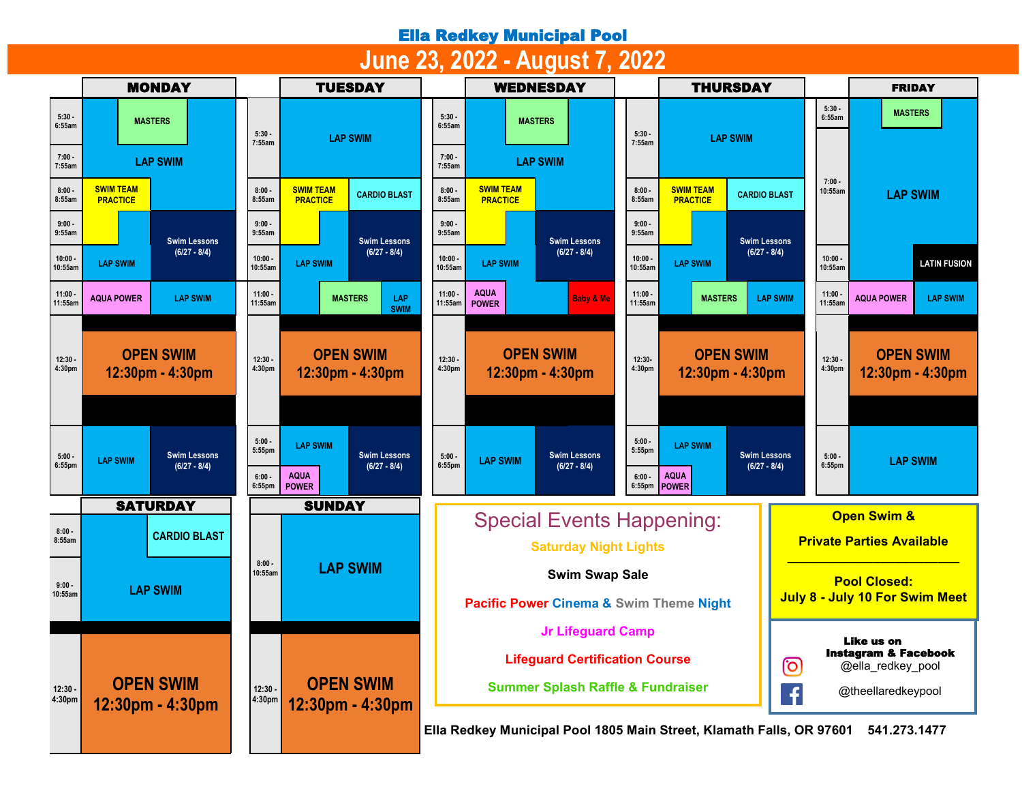## Ella Redkey Municipal Pool

## **June 23, 2022 - August 7, 2022**

|                     | <b>MONDAY</b>                                            |                                          | <b>TUESDAY</b>                                                                          |                                                                                      | <b>WEDNESDAY</b>                                                            |                                  | <b>THURSDAY</b>                                            |                                                             | <b>FRIDAY</b>                                              |  |  |
|---------------------|----------------------------------------------------------|------------------------------------------|-----------------------------------------------------------------------------------------|--------------------------------------------------------------------------------------|-----------------------------------------------------------------------------|----------------------------------|------------------------------------------------------------|-------------------------------------------------------------|------------------------------------------------------------|--|--|
| $5:30 -$<br>6:55am  | <b>MASTERS</b>                                           | $5:30 -$<br>7:55am                       | <b>LAP SWIM</b>                                                                         | $5:30 -$<br>6:55am                                                                   | <b>MASTERS</b>                                                              | 5:30<br>7:55am                   | <b>LAP SWIM</b>                                            | 5:30.                                                       | <b>MASTERS</b><br>6:55am                                   |  |  |
| $7:00 -$<br>7:55am  | <b>LAP SWIM</b>                                          |                                          |                                                                                         | $7:00 -$<br>7:55am                                                                   | <b>LAP SWIM</b>                                                             |                                  |                                                            |                                                             |                                                            |  |  |
| 8:00.<br>8:55am     | <b>SWIM TEAM</b><br><b>PRACTICE</b>                      | $8:00 -$<br>8:55am                       | <b>SWIM TEAM</b><br><b>CARDIO BLAST</b><br><b>PRACTICE</b>                              | $8:00 -$<br>8:55am                                                                   | <b>SWIM TEAM</b><br><b>PRACTICE</b>                                         | 8:00.<br>8:55am                  | <b>SWIM TEAM</b><br><b>CARDIO BLAST</b><br><b>PRACTICE</b> |                                                             | $7:00 -$<br>10:55am<br><b>LAP SWIM</b>                     |  |  |
| $9:00 -$<br>9:55am  | <b>Swim Lessons</b>                                      | $9:00 -$<br>9:55am                       | <b>Swim Lessons</b>                                                                     | $9:00 -$<br>9:55am                                                                   | <b>Swim Lessons</b>                                                         | $9:00 -$<br>9:55am               |                                                            | <b>Swim Lessons</b>                                         |                                                            |  |  |
| 10:00<br>10:55am    | $(6/27 - 8/4)$<br><b>LAP SWIM</b>                        | 10:00.<br>10:55am                        | $(6/27 - 8/4)$<br><b>LAP SWIM</b>                                                       | 10:00<br>10:55am                                                                     | $(6/27 - 8/4)$<br><b>LAP SWIM</b>                                           |                                  | $(6/27 - 8/4)$<br><b>LAP SWIM</b>                          |                                                             | $10:00 -$<br><b>LATIN FUSION</b><br>10:55am                |  |  |
| 11:00<br>11:55am    | <b>AQUA POWER</b><br><b>LAP SWIM</b>                     | $11:00 -$<br>11:55am                     | LAP<br><b>MASTERS</b><br><b>SWIM</b>                                                    | 11:00<br>11:55am                                                                     | <b>AQUA</b><br><b>Baby &amp; Me</b><br><b>POWER</b>                         | 11:00.<br>11:55am                | <b>MASTERS</b>                                             | $11:00 -$<br><b>LAP SWIM</b>                                | <b>AQUA POWER</b><br><b>LAP SWIM</b><br>11:55am            |  |  |
| $12:30 -$<br>4:30pm | <b>OPEN SWIM</b><br>12:30pm - 4:30pm                     | $12:30 -$<br>4:30pm                      | <b>OPEN SWIM</b><br>12:30pm - 4:30pm                                                    | $12:30 -$<br>4:30pm                                                                  | <b>OPEN SWIM</b><br>12:30pm - 4:30pm                                        | 12:30-<br>4:30pm                 | <b>OPEN SWIM</b><br>12:30pm - 4:30pm                       | <b>OPEN SWIM</b><br>$12:30 -$<br>4:30pm<br>12:30pm - 4:30pm |                                                            |  |  |
| $5:00 -$<br>6:55pm  | <b>Swim Lessons</b><br><b>LAP SWIM</b><br>$(6/27 - 8/4)$ | $5:00 -$<br>5:55pm<br>$6:00 -$<br>6:55pm | <b>LAP SWIM</b><br><b>Swim Lessons</b><br>$(6/27 - 8/4)$<br><b>AQUA</b><br><b>POWER</b> | $5:00 -$<br>6:55pm                                                                   | <b>Swim Lessons</b><br><b>LAP SWIM</b><br>$(6/27 - 8/4)$                    | 5:00<br>5:55pm<br>6:00<br>6:55pm | <b>LAP SWIM</b><br><b>AQUA</b><br><b>POWER</b>             | <b>Swim Lessons</b><br>$(6/27 - 8/4)$                       | $5:00 -$<br><b>LAP SWIM</b><br>6:55pm                      |  |  |
|                     | <b>SATURDAY</b>                                          |                                          | <b>SUNDAY</b>                                                                           |                                                                                      |                                                                             |                                  |                                                            |                                                             |                                                            |  |  |
| $8:00 -$<br>8:55am  | <b>CARDIO BLAST</b>                                      | $8:00 -$<br><b>LAP SWIM</b><br>10:55am   |                                                                                         |                                                                                      | <b>Special Events Happening:</b><br><b>Saturday Night Lights</b>            |                                  |                                                            |                                                             | <b>Open Swim &amp;</b><br><b>Private Parties Available</b> |  |  |
| $9:00 -$<br>10:55am | <b>LAP SWIM</b>                                          |                                          |                                                                                         |                                                                                      | <b>Swim Swap Sale</b><br><b>Pacific Power Cinema &amp; Swim Theme Night</b> |                                  |                                                            |                                                             | <b>Pool Closed:</b><br>July 8 - July 10 For Swim Meet      |  |  |
|                     |                                                          | $12:30 -$<br>4:30pm                      |                                                                                         | <b>Jr Lifeguard Camp</b>                                                             |                                                                             |                                  |                                                            | Like us on<br><b>Instagram &amp; Facebook</b>               |                                                            |  |  |
|                     |                                                          |                                          |                                                                                         | <b>Lifeguard Certification Course</b>                                                |                                                                             |                                  |                                                            | ල<br>@ella_redkey_pool                                      |                                                            |  |  |
| $12:30 -$<br>4:30pm | <b>OPEN SWIM</b><br>12:30pm - 4:30pm                     |                                          | <b>OPEN SWIM</b><br>12:30pm - 4:30pm                                                    | <b>Summer Splash Raffle &amp; Fundraiser</b>                                         |                                                                             |                                  |                                                            | f                                                           | @theellaredkeypool                                         |  |  |
|                     |                                                          |                                          |                                                                                         | Ella Redkey Municipal Pool 1805 Main Street, Klamath Falls, OR 97601<br>541.273.1477 |                                                                             |                                  |                                                            |                                                             |                                                            |  |  |